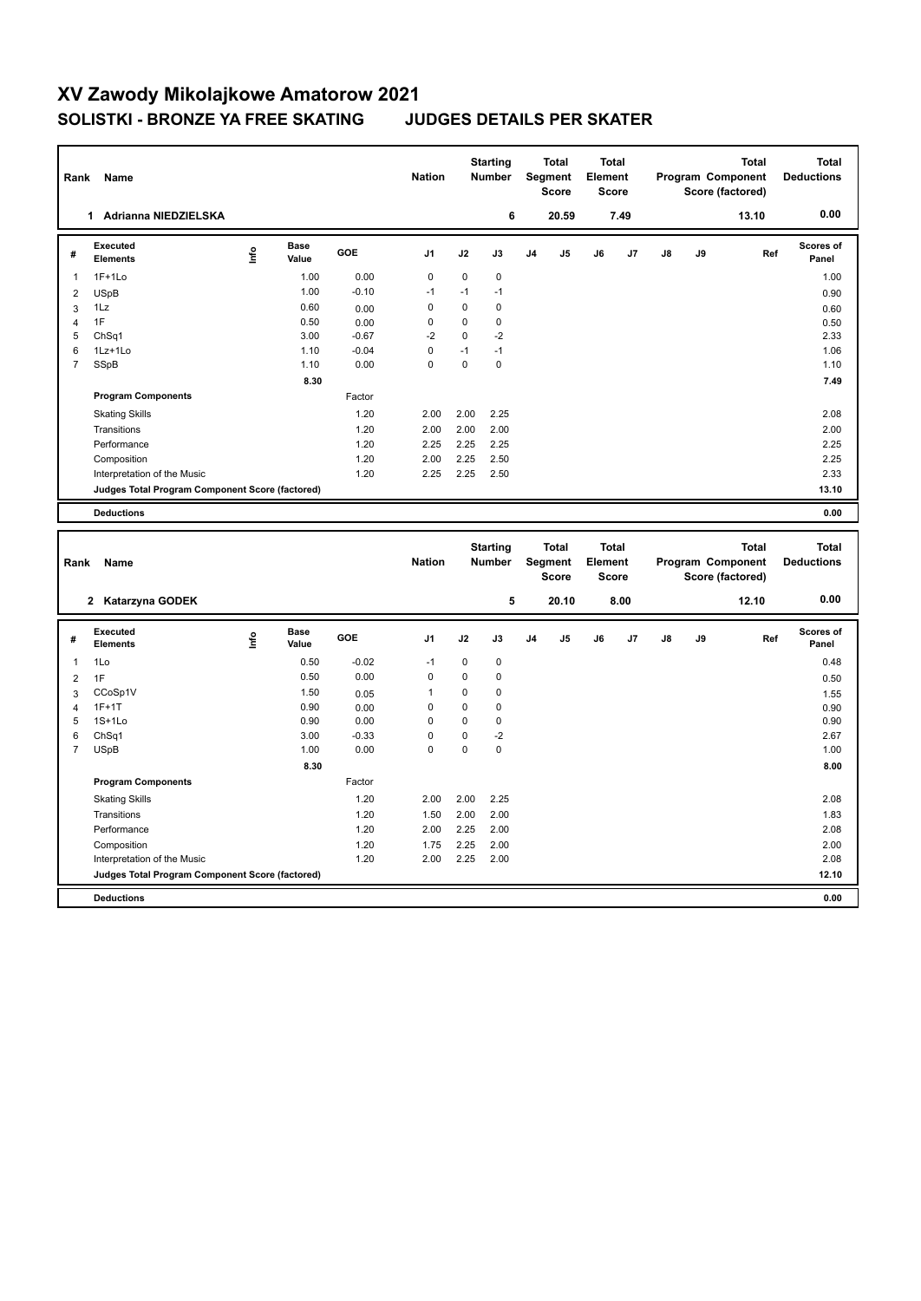| Rank           | Name                                                                           |      |                      |         | <b>Nation</b>           |             | <b>Starting</b><br><b>Number</b> |    | <b>Total</b><br>Segment<br><b>Score</b> | <b>Total</b><br>Element<br><b>Score</b> |              |    |    | <b>Total</b><br>Program Component<br>Score (factored) | <b>Total</b><br><b>Deductions</b> |
|----------------|--------------------------------------------------------------------------------|------|----------------------|---------|-------------------------|-------------|----------------------------------|----|-----------------------------------------|-----------------------------------------|--------------|----|----|-------------------------------------------------------|-----------------------------------|
|                | 1 Adrianna NIEDZIELSKA                                                         |      |                      |         |                         |             | 6                                |    | 20.59                                   |                                         | 7.49         |    |    | 13.10                                                 | 0.00                              |
| #              | <b>Executed</b><br><b>Elements</b>                                             | lnfo | <b>Base</b><br>Value | GOE     | J1                      | J2          | J3                               | J4 | J5                                      | J6                                      | J7           | J8 | J9 | Ref                                                   | Scores of<br>Panel                |
| $\mathbf{1}$   | $1F+1Lo$                                                                       |      | 1.00                 | 0.00    | $\mathbf 0$             | $\mathbf 0$ | $\mathbf 0$                      |    |                                         |                                         |              |    |    |                                                       | 1.00                              |
| $\overline{2}$ | <b>USpB</b>                                                                    |      | 1.00                 | $-0.10$ | $-1$                    | $-1$        | $-1$                             |    |                                         |                                         |              |    |    |                                                       | 0.90                              |
| $\overline{3}$ | 1Lz                                                                            |      | 0.60                 | 0.00    | $\mathbf 0$             | $\mathbf 0$ | $\mathbf 0$                      |    |                                         |                                         |              |    |    |                                                       | 0.60                              |
| $\overline{4}$ | 1F                                                                             |      | 0.50                 | 0.00    | $\mathbf 0$             | 0           | $\pmb{0}$                        |    |                                         |                                         |              |    |    |                                                       | 0.50                              |
| 5              | ChSq1                                                                          |      | 3.00                 | $-0.67$ | $-2$                    | $\mathbf 0$ | $-2$                             |    |                                         |                                         |              |    |    |                                                       | 2.33                              |
| 6              | 1Lz+1Lo                                                                        |      | 1.10                 | $-0.04$ | $\mathbf 0$<br>$\Omega$ | $-1$        | $-1$                             |    |                                         |                                         |              |    |    |                                                       | 1.06                              |
| $\overline{7}$ | SSpB                                                                           |      | 1.10                 | 0.00    |                         | 0           | $\mathbf 0$                      |    |                                         |                                         |              |    |    |                                                       | 1.10                              |
|                |                                                                                |      | 8.30                 |         |                         |             |                                  |    |                                         |                                         |              |    |    |                                                       | 7.49                              |
|                | <b>Program Components</b>                                                      |      |                      | Factor  |                         |             |                                  |    |                                         |                                         |              |    |    |                                                       |                                   |
|                | <b>Skating Skills</b>                                                          |      |                      | 1.20    | 2.00                    | 2.00        | 2.25                             |    |                                         |                                         |              |    |    |                                                       | 2.08                              |
|                | Transitions                                                                    |      |                      | 1.20    | 2.00                    | 2.00        | 2.00                             |    |                                         |                                         |              |    |    |                                                       | 2.00                              |
|                | Performance                                                                    |      |                      | 1.20    | 2.25                    | 2.25        | 2.25                             |    |                                         |                                         |              |    |    |                                                       | 2.25                              |
|                | Composition                                                                    |      |                      | 1.20    | 2.00                    | 2.25        | 2.50                             |    |                                         |                                         |              |    |    |                                                       | 2.25                              |
|                | Interpretation of the Music                                                    |      |                      | 1.20    | 2.25                    | 2.25        | 2.50                             |    |                                         |                                         |              |    |    |                                                       | 2.33                              |
|                | Judges Total Program Component Score (factored)                                |      |                      |         |                         |             |                                  |    |                                         |                                         |              |    |    |                                                       | 13.10                             |
|                | <b>Deductions</b>                                                              |      |                      |         |                         |             |                                  |    |                                         |                                         |              |    |    |                                                       | 0.00                              |
|                |                                                                                |      |                      |         |                         |             |                                  |    |                                         |                                         |              |    |    |                                                       |                                   |
|                |                                                                                |      |                      |         |                         |             |                                  |    |                                         |                                         | <b>Total</b> |    |    |                                                       |                                   |
|                |                                                                                |      |                      |         |                         |             | <b>Starting</b>                  |    | <b>Total</b>                            |                                         |              |    |    | <b>Total</b>                                          | <b>Total</b>                      |
| Rank           | Name                                                                           |      |                      |         | <b>Nation</b>           |             | <b>Number</b>                    |    | Segment                                 | Element                                 |              |    |    | Program Component                                     | <b>Deductions</b>                 |
|                |                                                                                |      |                      |         |                         |             |                                  |    | <b>Score</b>                            | <b>Score</b>                            |              |    |    | Score (factored)                                      |                                   |
|                | 2 Katarzyna GODEK                                                              |      |                      |         |                         |             | 5                                |    | 20.10                                   |                                         | 8.00         |    |    | 12.10                                                 | 0.00                              |
|                |                                                                                |      |                      |         |                         |             |                                  |    |                                         |                                         |              |    |    |                                                       |                                   |
| #              | <b>Executed</b><br><b>Elements</b>                                             | Lnfo | <b>Base</b><br>Value | GOE     | J1                      | J2          | J3                               | J4 | J5                                      | J6                                      | J7           | J8 | J9 | Ref                                                   | Scores of<br>Panel                |
| $\mathbf{1}$   | 1Lo                                                                            |      | 0.50                 | $-0.02$ | $-1$                    | $\mathbf 0$ | $\mathbf 0$                      |    |                                         |                                         |              |    |    |                                                       | 0.48                              |
| $\overline{2}$ | 1F                                                                             |      | 0.50                 | 0.00    | 0                       | 0           | $\mathbf 0$                      |    |                                         |                                         |              |    |    |                                                       | 0.50                              |
| $\overline{3}$ | CCoSp1V                                                                        |      | 1.50                 | 0.05    | $\mathbf{1}$            | $\mathbf 0$ | $\mathbf 0$                      |    |                                         |                                         |              |    |    |                                                       | 1.55                              |
| $\overline{4}$ | $1F+1T$                                                                        |      | 0.90                 | 0.00    | $\mathbf 0$             | 0           | $\mathbf 0$                      |    |                                         |                                         |              |    |    |                                                       | 0.90                              |
| 5              | $1S+1L0$                                                                       |      | 0.90                 | 0.00    | $\mathbf 0$             | $\mathbf 0$ | $\mathbf 0$                      |    |                                         |                                         |              |    |    |                                                       | 0.90                              |
| 6              | ChSq1                                                                          |      | 3.00                 | $-0.33$ | $\mathbf 0$             | 0           | $-2$                             |    |                                         |                                         |              |    |    |                                                       | 2.67                              |
| $\overline{7}$ | <b>USpB</b>                                                                    |      | 1.00                 | 0.00    | $\Omega$                | 0           | $\mathbf 0$                      |    |                                         |                                         |              |    |    |                                                       | 1.00                              |
|                |                                                                                |      | 8.30                 |         |                         |             |                                  |    |                                         |                                         |              |    |    |                                                       | 8.00                              |
|                | <b>Program Components</b>                                                      |      |                      | Factor  |                         |             |                                  |    |                                         |                                         |              |    |    |                                                       |                                   |
|                | <b>Skating Skills</b>                                                          |      |                      | 1.20    | 2.00                    | 2.00        | 2.25                             |    |                                         |                                         |              |    |    |                                                       | 2.08                              |
|                | Transitions                                                                    |      |                      | 1.20    | 1.50                    | 2.00        | 2.00                             |    |                                         |                                         |              |    |    |                                                       | 1.83                              |
|                | Performance                                                                    |      |                      | 1.20    | 2.00                    | 2.25        | 2.00                             |    |                                         |                                         |              |    |    |                                                       | 2.08                              |
|                | Composition                                                                    |      |                      | 1.20    | 1.75                    | 2.25        | 2.00                             |    |                                         |                                         |              |    |    |                                                       | 2.00                              |
|                | Interpretation of the Music<br>Judges Total Program Component Score (factored) |      |                      | 1.20    | 2.00                    | 2.25        | 2.00                             |    |                                         |                                         |              |    |    |                                                       | 2.08<br>12.10                     |

**Deductions 0.00**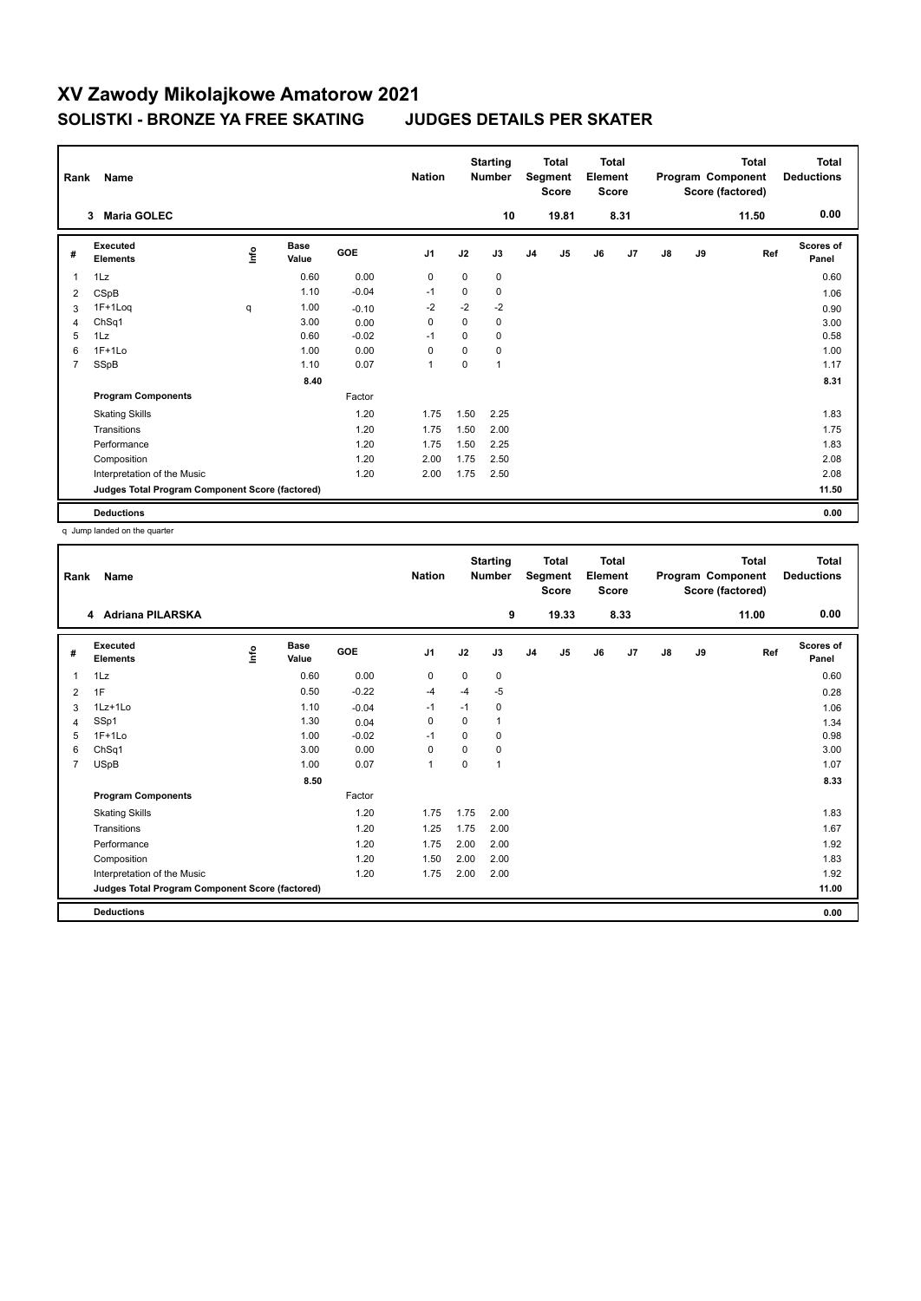| Rank           | Name                                            |      |                      | <b>Nation</b> |                | <b>Starting</b><br><b>Number</b> |      | Total<br>Segment<br><b>Score</b> | <b>Total</b><br>Element<br><b>Score</b> |    | Total<br>Program Component<br>Score (factored) |    |    | <b>Total</b><br><b>Deductions</b> |                    |
|----------------|-------------------------------------------------|------|----------------------|---------------|----------------|----------------------------------|------|----------------------------------|-----------------------------------------|----|------------------------------------------------|----|----|-----------------------------------|--------------------|
|                | <b>Maria GOLEC</b><br>$\mathbf{3}$              |      |                      |               |                |                                  | 10   |                                  | 19.81                                   |    | 8.31                                           |    |    | 11.50                             | 0.00               |
| #              | Executed<br><b>Elements</b>                     | lnfo | <b>Base</b><br>Value | GOE           | J <sub>1</sub> | J2                               | J3   | J <sub>4</sub>                   | J5                                      | J6 | J7                                             | J8 | J9 | Ref                               | Scores of<br>Panel |
| 1              | 1Lz                                             |      | 0.60                 | 0.00          | 0              | $\mathbf 0$                      | 0    |                                  |                                         |    |                                                |    |    |                                   | 0.60               |
| 2              | CSpB                                            |      | 1.10                 | $-0.04$       | $-1$           | 0                                | 0    |                                  |                                         |    |                                                |    |    |                                   | 1.06               |
| 3              | $1F+1Log$                                       | q    | 1.00                 | $-0.10$       | $-2$           | $-2$                             | $-2$ |                                  |                                         |    |                                                |    |    |                                   | 0.90               |
| 4              | ChSq1                                           |      | 3.00                 | 0.00          | 0              | $\mathbf 0$                      | 0    |                                  |                                         |    |                                                |    |    |                                   | 3.00               |
| 5              | 1Lz                                             |      | 0.60                 | $-0.02$       | $-1$           | 0                                | 0    |                                  |                                         |    |                                                |    |    |                                   | 0.58               |
| 6              | $1F+1Lo$                                        |      | 1.00                 | 0.00          | 0              | $\Omega$                         | 0    |                                  |                                         |    |                                                |    |    |                                   | 1.00               |
| $\overline{7}$ | SSpB                                            |      | 1.10                 | 0.07          | $\overline{1}$ | 0                                | 1    |                                  |                                         |    |                                                |    |    |                                   | 1.17               |
|                |                                                 |      | 8.40                 |               |                |                                  |      |                                  |                                         |    |                                                |    |    |                                   | 8.31               |
|                | <b>Program Components</b>                       |      |                      | Factor        |                |                                  |      |                                  |                                         |    |                                                |    |    |                                   |                    |
|                | <b>Skating Skills</b>                           |      |                      | 1.20          | 1.75           | 1.50                             | 2.25 |                                  |                                         |    |                                                |    |    |                                   | 1.83               |
|                | Transitions                                     |      |                      | 1.20          | 1.75           | 1.50                             | 2.00 |                                  |                                         |    |                                                |    |    |                                   | 1.75               |
|                | Performance                                     |      |                      | 1.20          | 1.75           | 1.50                             | 2.25 |                                  |                                         |    |                                                |    |    |                                   | 1.83               |
|                | Composition                                     |      |                      | 1.20          | 2.00           | 1.75                             | 2.50 |                                  |                                         |    |                                                |    |    |                                   | 2.08               |
|                | Interpretation of the Music                     |      |                      | 1.20          | 2.00           | 1.75                             | 2.50 |                                  |                                         |    |                                                |    |    |                                   | 2.08               |
|                | Judges Total Program Component Score (factored) |      |                      |               |                |                                  |      |                                  |                                         |    |                                                |    |    |                                   | 11.50              |
|                | <b>Deductions</b>                               |      |                      |               |                |                                  |      |                                  |                                         |    |                                                |    |    |                                   | 0.00               |

q Jump landed on the quarter

| Rank           | Name                                            |             | <b>Nation</b>        |         | <b>Starting</b><br><b>Number</b> | <b>Total</b><br>Segment<br><b>Score</b> |          | <b>Total</b><br>Element<br><b>Score</b> |       |    |      | <b>Total</b><br>Program Component<br>Score (factored) | <b>Total</b><br><b>Deductions</b> |       |                           |
|----------------|-------------------------------------------------|-------------|----------------------|---------|----------------------------------|-----------------------------------------|----------|-----------------------------------------|-------|----|------|-------------------------------------------------------|-----------------------------------|-------|---------------------------|
|                | 4 Adriana PILARSKA                              |             |                      |         |                                  |                                         | 9        |                                         | 19.33 |    | 8.33 |                                                       |                                   | 11.00 | 0.00                      |
| #              | Executed<br><b>Elements</b>                     | <u>info</u> | <b>Base</b><br>Value | GOE     | J <sub>1</sub>                   | J2                                      | J3       | J <sub>4</sub>                          | J5    | J6 | J7   | $\mathsf{J}8$                                         | J9                                | Ref   | <b>Scores of</b><br>Panel |
| 1              | 1Lz                                             |             | 0.60                 | 0.00    | 0                                | 0                                       | 0        |                                         |       |    |      |                                                       |                                   |       | 0.60                      |
| 2              | 1F                                              |             | 0.50                 | $-0.22$ | $-4$                             | $-4$                                    | $-5$     |                                         |       |    |      |                                                       |                                   |       | 0.28                      |
| 3              | $1Lz+1Lo$                                       |             | 1.10                 | $-0.04$ | $-1$                             | $-1$                                    | 0        |                                         |       |    |      |                                                       |                                   |       | 1.06                      |
| 4              | SSp1                                            |             | 1.30                 | 0.04    | 0                                | $\Omega$                                | 1        |                                         |       |    |      |                                                       |                                   |       | 1.34                      |
| 5              | $1F+1Lo$                                        |             | 1.00                 | $-0.02$ | $-1$                             | $\Omega$                                | $\Omega$ |                                         |       |    |      |                                                       |                                   |       | 0.98                      |
| 6              | Ch <sub>Sq1</sub>                               |             | 3.00                 | 0.00    | 0                                | $\Omega$                                | 0        |                                         |       |    |      |                                                       |                                   |       | 3.00                      |
| $\overline{7}$ | <b>USpB</b>                                     |             | 1.00                 | 0.07    | $\mathbf{1}$                     | $\mathbf 0$                             | 1        |                                         |       |    |      |                                                       |                                   |       | 1.07                      |
|                |                                                 |             | 8.50                 |         |                                  |                                         |          |                                         |       |    |      |                                                       |                                   |       | 8.33                      |
|                | <b>Program Components</b>                       |             |                      | Factor  |                                  |                                         |          |                                         |       |    |      |                                                       |                                   |       |                           |
|                | <b>Skating Skills</b>                           |             |                      | 1.20    | 1.75                             | 1.75                                    | 2.00     |                                         |       |    |      |                                                       |                                   |       | 1.83                      |
|                | Transitions                                     |             |                      | 1.20    | 1.25                             | 1.75                                    | 2.00     |                                         |       |    |      |                                                       |                                   |       | 1.67                      |
|                | Performance                                     |             |                      | 1.20    | 1.75                             | 2.00                                    | 2.00     |                                         |       |    |      |                                                       |                                   |       | 1.92                      |
|                | Composition                                     |             |                      | 1.20    | 1.50                             | 2.00                                    | 2.00     |                                         |       |    |      |                                                       |                                   |       | 1.83                      |
|                | Interpretation of the Music                     |             |                      | 1.20    | 1.75                             | 2.00                                    | 2.00     |                                         |       |    |      |                                                       |                                   |       | 1.92                      |
|                | Judges Total Program Component Score (factored) |             |                      |         |                                  |                                         |          |                                         |       |    |      |                                                       |                                   |       | 11.00                     |
|                | <b>Deductions</b>                               |             |                      |         |                                  |                                         |          |                                         |       |    |      |                                                       |                                   |       | 0.00                      |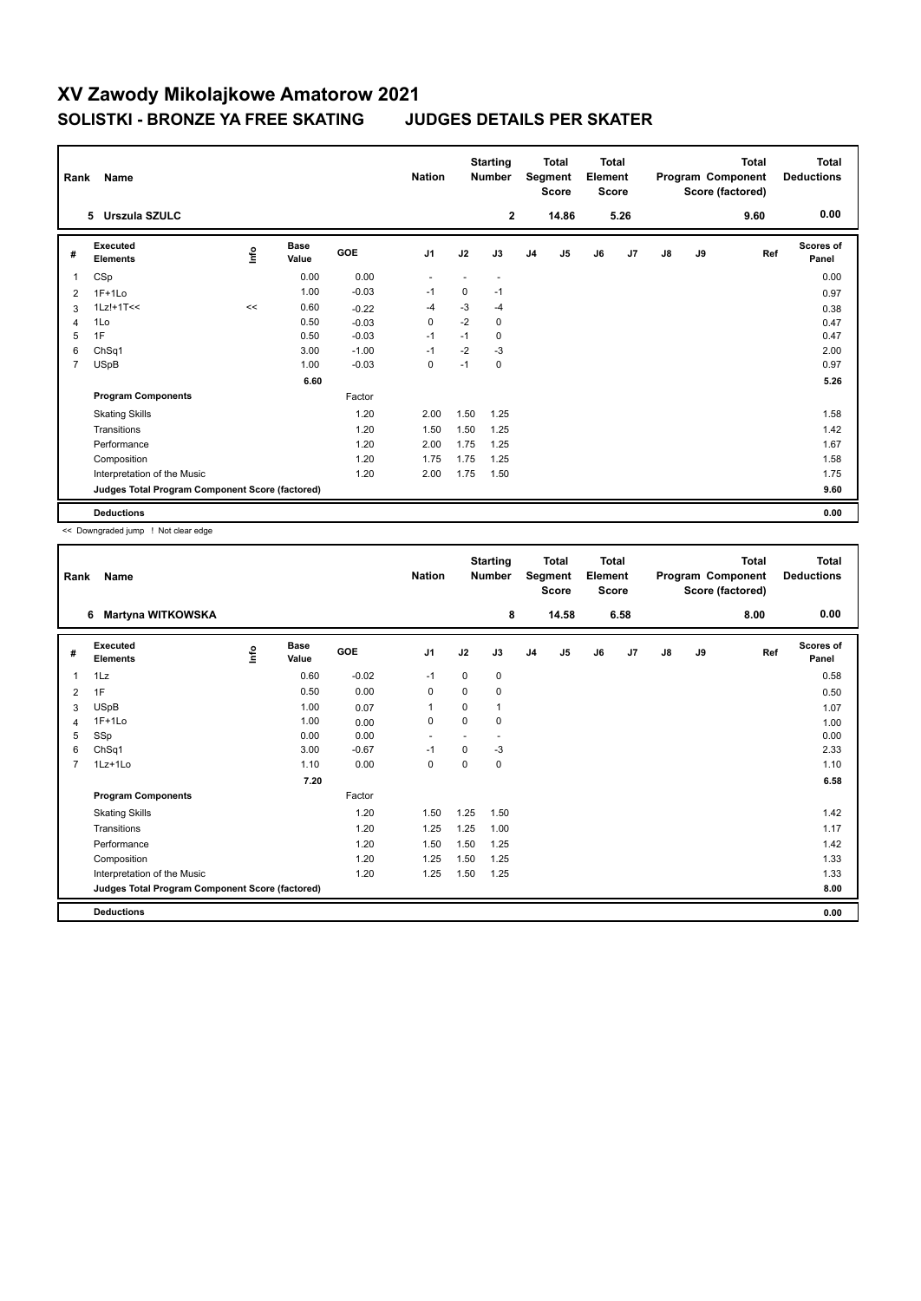| Rank           | Name                                            |      |                      | <b>Nation</b> |                | <b>Starting</b><br><b>Number</b> |                          | Total<br>Segment<br><b>Score</b> | <b>Total</b><br>Element<br><b>Score</b> |    |      |    | Total<br>Program Component<br>Score (factored) | <b>Total</b><br><b>Deductions</b> |                    |
|----------------|-------------------------------------------------|------|----------------------|---------------|----------------|----------------------------------|--------------------------|----------------------------------|-----------------------------------------|----|------|----|------------------------------------------------|-----------------------------------|--------------------|
|                | 5 Urszula SZULC                                 |      |                      |               |                |                                  | $\mathbf{2}$             |                                  | 14.86                                   |    | 5.26 |    |                                                | 9.60                              | 0.00               |
| #              | Executed<br><b>Elements</b>                     | lnfo | <b>Base</b><br>Value | GOE           | J <sub>1</sub> | J2                               | J3                       | J <sub>4</sub>                   | J5                                      | J6 | J7   | J8 | J9                                             | Ref                               | Scores of<br>Panel |
| $\mathbf{1}$   | CSp                                             |      | 0.00                 | 0.00          |                |                                  | $\overline{\phantom{a}}$ |                                  |                                         |    |      |    |                                                |                                   | 0.00               |
| 2              | $1F+1Lo$                                        |      | 1.00                 | $-0.03$       | $-1$           | 0                                | $-1$                     |                                  |                                         |    |      |    |                                                |                                   | 0.97               |
| 3              | $1Lz!+1T<<$                                     | <<   | 0.60                 | $-0.22$       | $-4$           | $-3$                             | -4                       |                                  |                                         |    |      |    |                                                |                                   | 0.38               |
| 4              | 1Lo                                             |      | 0.50                 | $-0.03$       | $\mathbf 0$    | $-2$                             | 0                        |                                  |                                         |    |      |    |                                                |                                   | 0.47               |
| 5              | 1F                                              |      | 0.50                 | $-0.03$       | $-1$           | $-1$                             | 0                        |                                  |                                         |    |      |    |                                                |                                   | 0.47               |
| 6              | ChSq1                                           |      | 3.00                 | $-1.00$       | $-1$           | $-2$                             | $-3$                     |                                  |                                         |    |      |    |                                                |                                   | 2.00               |
| $\overline{7}$ | <b>USpB</b>                                     |      | 1.00                 | $-0.03$       | 0              | $-1$                             | 0                        |                                  |                                         |    |      |    |                                                |                                   | 0.97               |
|                |                                                 |      | 6.60                 |               |                |                                  |                          |                                  |                                         |    |      |    |                                                |                                   | 5.26               |
|                | <b>Program Components</b>                       |      |                      | Factor        |                |                                  |                          |                                  |                                         |    |      |    |                                                |                                   |                    |
|                | <b>Skating Skills</b>                           |      |                      | 1.20          | 2.00           | 1.50                             | 1.25                     |                                  |                                         |    |      |    |                                                |                                   | 1.58               |
|                | Transitions                                     |      |                      | 1.20          | 1.50           | 1.50                             | 1.25                     |                                  |                                         |    |      |    |                                                |                                   | 1.42               |
|                | Performance                                     |      |                      | 1.20          | 2.00           | 1.75                             | 1.25                     |                                  |                                         |    |      |    |                                                |                                   | 1.67               |
|                | Composition                                     |      |                      | 1.20          | 1.75           | 1.75                             | 1.25                     |                                  |                                         |    |      |    |                                                |                                   | 1.58               |
|                | Interpretation of the Music                     |      |                      | 1.20          | 2.00           | 1.75                             | 1.50                     |                                  |                                         |    |      |    |                                                |                                   | 1.75               |
|                | Judges Total Program Component Score (factored) |      |                      |               |                |                                  |                          |                                  |                                         |    |      |    |                                                |                                   | 9.60               |
|                | <b>Deductions</b>                               |      |                      |               |                |                                  |                          |                                  |                                         |    |      |    |                                                |                                   | 0.00               |

<< Downgraded jump ! Not clear edge

| Rank           | Name                                            |      |                      |         | <b>Nation</b>            |          | <b>Starting</b><br><b>Number</b> | <b>Total</b><br>Segment<br><b>Score</b> |       | <b>Total</b><br>Element<br><b>Score</b> |      | Program Component |    | <b>Total</b><br>Score (factored) | Total<br><b>Deductions</b> |
|----------------|-------------------------------------------------|------|----------------------|---------|--------------------------|----------|----------------------------------|-----------------------------------------|-------|-----------------------------------------|------|-------------------|----|----------------------------------|----------------------------|
|                | <b>Martyna WITKOWSKA</b><br>6                   |      |                      |         |                          |          | 8                                |                                         | 14.58 |                                         | 6.58 |                   |    | 8.00                             | 0.00                       |
| #              | Executed<br><b>Elements</b>                     | lnfo | <b>Base</b><br>Value | GOE     | J1                       | J2       | J3                               | J <sub>4</sub>                          | J5    | J6                                      | J7   | $\mathsf{J}8$     | J9 | Ref                              | <b>Scores of</b><br>Panel  |
| 1              | 1Lz                                             |      | 0.60                 | $-0.02$ | $-1$                     | 0        | 0                                |                                         |       |                                         |      |                   |    |                                  | 0.58                       |
| 2              | 1F                                              |      | 0.50                 | 0.00    | 0                        | $\Omega$ | 0                                |                                         |       |                                         |      |                   |    |                                  | 0.50                       |
| 3              | <b>USpB</b>                                     |      | 1.00                 | 0.07    | 1                        | 0        | 1                                |                                         |       |                                         |      |                   |    |                                  | 1.07                       |
| 4              | $1F+1Lo$                                        |      | 1.00                 | 0.00    | 0                        | 0        | 0                                |                                         |       |                                         |      |                   |    |                                  | 1.00                       |
| 5              | SSp                                             |      | 0.00                 | 0.00    | $\overline{\phantom{a}}$ |          | ٠                                |                                         |       |                                         |      |                   |    |                                  | 0.00                       |
| 6              | ChSq1                                           |      | 3.00                 | $-0.67$ | $-1$                     | $\Omega$ | $-3$                             |                                         |       |                                         |      |                   |    |                                  | 2.33                       |
| $\overline{7}$ | $1Lz+1Lo$                                       |      | 1.10                 | 0.00    | 0                        | $\Omega$ | 0                                |                                         |       |                                         |      |                   |    |                                  | 1.10                       |
|                |                                                 |      | 7.20                 |         |                          |          |                                  |                                         |       |                                         |      |                   |    |                                  | 6.58                       |
|                | <b>Program Components</b>                       |      |                      | Factor  |                          |          |                                  |                                         |       |                                         |      |                   |    |                                  |                            |
|                | <b>Skating Skills</b>                           |      |                      | 1.20    | 1.50                     | 1.25     | 1.50                             |                                         |       |                                         |      |                   |    |                                  | 1.42                       |
|                | Transitions                                     |      |                      | 1.20    | 1.25                     | 1.25     | 1.00                             |                                         |       |                                         |      |                   |    |                                  | 1.17                       |
|                | Performance                                     |      |                      | 1.20    | 1.50                     | 1.50     | 1.25                             |                                         |       |                                         |      |                   |    |                                  | 1.42                       |
|                | Composition                                     |      |                      | 1.20    | 1.25                     | 1.50     | 1.25                             |                                         |       |                                         |      |                   |    |                                  | 1.33                       |
|                | Interpretation of the Music                     |      |                      | 1.20    | 1.25                     | 1.50     | 1.25                             |                                         |       |                                         |      |                   |    |                                  | 1.33                       |
|                | Judges Total Program Component Score (factored) |      |                      |         |                          |          |                                  |                                         |       |                                         |      |                   |    |                                  | 8.00                       |
|                | <b>Deductions</b>                               |      |                      |         |                          |          |                                  |                                         |       |                                         |      |                   |    |                                  | 0.00                       |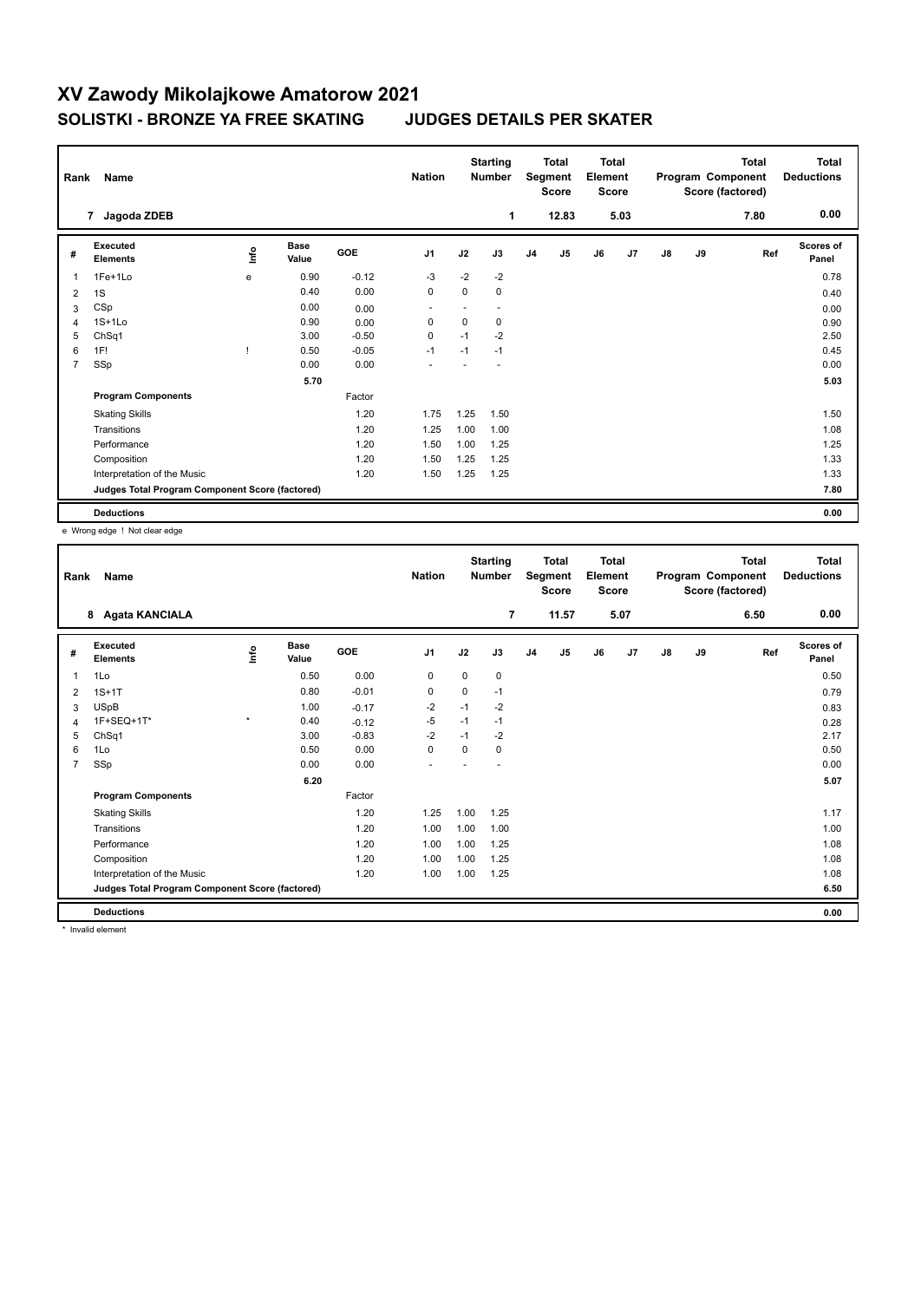| Rank           | Name                                            |             |                      | <b>Nation</b> |                | <b>Starting</b><br><b>Number</b> |      | Total<br>Segment<br><b>Score</b> | <b>Total</b><br>Element<br><b>Score</b> |    |      |    | Total<br>Program Component<br>Score (factored) | <b>Total</b><br><b>Deductions</b> |                    |
|----------------|-------------------------------------------------|-------------|----------------------|---------------|----------------|----------------------------------|------|----------------------------------|-----------------------------------------|----|------|----|------------------------------------------------|-----------------------------------|--------------------|
|                | Jagoda ZDEB<br>7                                |             |                      |               |                |                                  | 1    |                                  | 12.83                                   |    | 5.03 |    |                                                | 7.80                              | 0.00               |
| #              | Executed<br><b>Elements</b>                     | <u>lnfo</u> | <b>Base</b><br>Value | GOE           | J <sub>1</sub> | J2                               | J3   | J <sub>4</sub>                   | J <sub>5</sub>                          | J6 | J7   | J8 | J9                                             | Ref                               | Scores of<br>Panel |
| 1              | 1Fe+1Lo                                         | e           | 0.90                 | $-0.12$       | -3             | $-2$                             | $-2$ |                                  |                                         |    |      |    |                                                |                                   | 0.78               |
| 2              | 1S                                              |             | 0.40                 | 0.00          | 0              | $\mathbf 0$                      | 0    |                                  |                                         |    |      |    |                                                |                                   | 0.40               |
| 3              | CSp                                             |             | 0.00                 | 0.00          | ÷              | ٠                                |      |                                  |                                         |    |      |    |                                                |                                   | 0.00               |
| 4              | $1S+1Lo$                                        |             | 0.90                 | 0.00          | 0              | $\mathbf 0$                      | 0    |                                  |                                         |    |      |    |                                                |                                   | 0.90               |
| 5              | ChSq1                                           |             | 3.00                 | $-0.50$       | 0              | $-1$                             | $-2$ |                                  |                                         |    |      |    |                                                |                                   | 2.50               |
| 6              | 1F!                                             |             | 0.50                 | $-0.05$       | $-1$           | $-1$                             | $-1$ |                                  |                                         |    |      |    |                                                |                                   | 0.45               |
| $\overline{7}$ | SSp                                             |             | 0.00                 | 0.00          |                |                                  |      |                                  |                                         |    |      |    |                                                |                                   | 0.00               |
|                |                                                 |             | 5.70                 |               |                |                                  |      |                                  |                                         |    |      |    |                                                |                                   | 5.03               |
|                | <b>Program Components</b>                       |             |                      | Factor        |                |                                  |      |                                  |                                         |    |      |    |                                                |                                   |                    |
|                | <b>Skating Skills</b>                           |             |                      | 1.20          | 1.75           | 1.25                             | 1.50 |                                  |                                         |    |      |    |                                                |                                   | 1.50               |
|                | Transitions                                     |             |                      | 1.20          | 1.25           | 1.00                             | 1.00 |                                  |                                         |    |      |    |                                                |                                   | 1.08               |
|                | Performance                                     |             |                      | 1.20          | 1.50           | 1.00                             | 1.25 |                                  |                                         |    |      |    |                                                |                                   | 1.25               |
|                | Composition                                     |             |                      | 1.20          | 1.50           | 1.25                             | 1.25 |                                  |                                         |    |      |    |                                                |                                   | 1.33               |
|                | Interpretation of the Music                     |             |                      | 1.20          | 1.50           | 1.25                             | 1.25 |                                  |                                         |    |      |    |                                                |                                   | 1.33               |
|                | Judges Total Program Component Score (factored) |             |                      |               |                |                                  |      |                                  |                                         |    |      |    |                                                |                                   | 7.80               |
|                | <b>Deductions</b>                               |             |                      |               |                |                                  |      |                                  |                                         |    |      |    |                                                |                                   | 0.00               |

e Wrong edge ! Not clear edge

| Rank           | Name                                            |             |                      | <b>Nation</b> |                | <b>Starting</b><br><b>Number</b> | <b>Total</b><br>Segment<br><b>Score</b> |                | <b>Total</b><br>Element<br><b>Score</b> |    | Program Component<br>Score (factored) |    | <b>Total</b> | <b>Total</b><br><b>Deductions</b> |                    |
|----------------|-------------------------------------------------|-------------|----------------------|---------------|----------------|----------------------------------|-----------------------------------------|----------------|-----------------------------------------|----|---------------------------------------|----|--------------|-----------------------------------|--------------------|
|                | <b>Agata KANCIALA</b><br>8                      |             |                      |               |                |                                  | 7                                       |                | 11.57                                   |    | 5.07                                  |    |              | 6.50                              | 0.00               |
| #              | Executed<br><b>Elements</b>                     | <u>info</u> | <b>Base</b><br>Value | GOE           | J <sub>1</sub> | J2                               | J3                                      | J <sub>4</sub> | J <sub>5</sub>                          | J6 | J7                                    | J8 | J9           | Ref                               | Scores of<br>Panel |
| 1              | 1Lo                                             |             | 0.50                 | 0.00          | 0              | $\mathbf 0$                      | 0                                       |                |                                         |    |                                       |    |              |                                   | 0.50               |
| 2              | $1S+1T$                                         |             | 0.80                 | $-0.01$       | 0              | 0                                | $-1$                                    |                |                                         |    |                                       |    |              |                                   | 0.79               |
| 3              | <b>USpB</b>                                     |             | 1.00                 | $-0.17$       | $-2$           | $-1$                             | $-2$                                    |                |                                         |    |                                       |    |              |                                   | 0.83               |
| 4              | 1F+SEQ+1T*                                      | $\star$     | 0.40                 | $-0.12$       | $-5$           | $-1$                             | $-1$                                    |                |                                         |    |                                       |    |              |                                   | 0.28               |
| 5              | ChSq1                                           |             | 3.00                 | $-0.83$       | $-2$           | $-1$                             | $-2$                                    |                |                                         |    |                                       |    |              |                                   | 2.17               |
| 6              | 1Lo                                             |             | 0.50                 | 0.00          | $\mathbf 0$    | $\Omega$                         | 0                                       |                |                                         |    |                                       |    |              |                                   | 0.50               |
| $\overline{7}$ | SSp                                             |             | 0.00                 | 0.00          | ٠              |                                  |                                         |                |                                         |    |                                       |    |              |                                   | 0.00               |
|                |                                                 |             | 6.20                 |               |                |                                  |                                         |                |                                         |    |                                       |    |              |                                   | 5.07               |
|                | <b>Program Components</b>                       |             |                      | Factor        |                |                                  |                                         |                |                                         |    |                                       |    |              |                                   |                    |
|                | <b>Skating Skills</b>                           |             |                      | 1.20          | 1.25           | 1.00                             | 1.25                                    |                |                                         |    |                                       |    |              |                                   | 1.17               |
|                | Transitions                                     |             |                      | 1.20          | 1.00           | 1.00                             | 1.00                                    |                |                                         |    |                                       |    |              |                                   | 1.00               |
|                | Performance                                     |             |                      | 1.20          | 1.00           | 1.00                             | 1.25                                    |                |                                         |    |                                       |    |              |                                   | 1.08               |
|                | Composition                                     |             |                      | 1.20          | 1.00           | 1.00                             | 1.25                                    |                |                                         |    |                                       |    |              |                                   | 1.08               |
|                | Interpretation of the Music                     |             |                      | 1.20          | 1.00           | 1.00                             | 1.25                                    |                |                                         |    |                                       |    |              |                                   | 1.08               |
|                | Judges Total Program Component Score (factored) |             |                      |               |                |                                  |                                         |                |                                         |    |                                       |    |              |                                   | 6.50               |
|                | <b>Deductions</b>                               |             |                      |               |                |                                  |                                         |                |                                         |    |                                       |    |              |                                   | 0.00               |

\* Invalid element